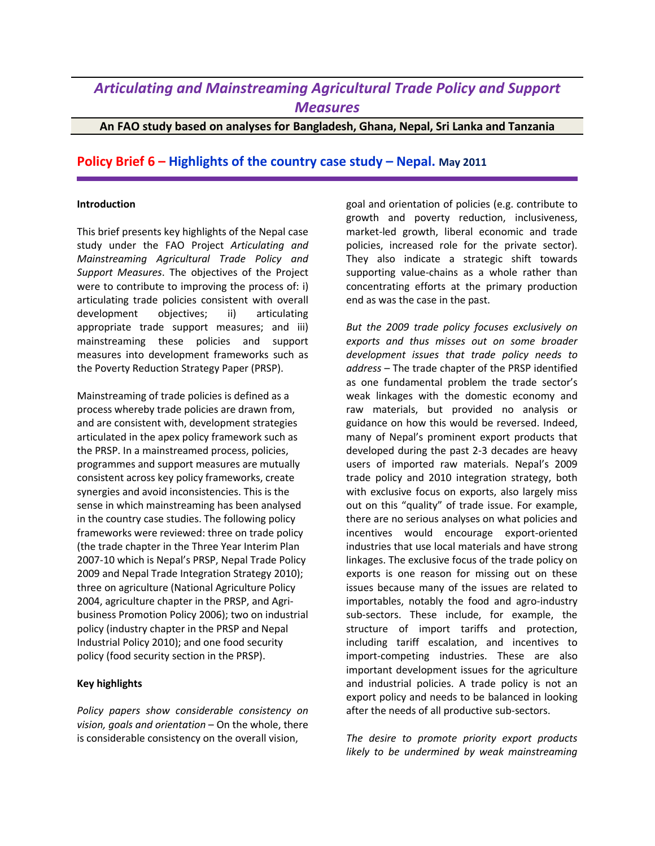## *Articulating and Mainstreaming Agricultural Trade Policy and Support Measures*

**An FAO study based on analyses for Bangladesh, Ghana, Nepal, Sri Lanka and Tanzania**

## **Policy Brief 6 – Highlights of the country case study – Nepal. May 2011**

## **Introduction**

This brief presents key highlights of the Nepal case study under the FAO Project *Articulating and Mainstreaming Agricultural Trade Policy and Support Measures*. The objectives of the Project were to contribute to improving the process of: i) articulating trade policies consistent with overall development objectives; ii) articulating appropriate trade support measures; and iii) mainstreaming these policies and support measures into development frameworks such as the Poverty Reduction Strategy Paper (PRSP).

Mainstreaming of trade policies is defined as a process whereby trade policies are drawn from, and are consistent with, development strategies articulated in the apex policy framework such as the PRSP. In a mainstreamed process, policies, programmes and support measures are mutually consistent across key policy frameworks, create synergies and avoid inconsistencies. This is the sense in which mainstreaming has been analysed in the country case studies. The following policy frameworks were reviewed: three on trade policy (the trade chapter in the Three Year Interim Plan 2007-10 which is Nepal's PRSP, Nepal Trade Policy 2009 and Nepal Trade Integration Strategy 2010); three on agriculture (National Agriculture Policy 2004, agriculture chapter in the PRSP, and Agribusiness Promotion Policy 2006); two on industrial policy (industry chapter in the PRSP and Nepal Industrial Policy 2010); and one food security policy (food security section in the PRSP).

## **Key highlights**

*Policy papers show considerable consistency on vision, goals and orientation* – On the whole, there is considerable consistency on the overall vision,

goal and orientation of policies (e.g. contribute to growth and poverty reduction, inclusiveness, market-led growth, liberal economic and trade policies, increased role for the private sector). They also indicate a strategic shift towards supporting value-chains as a whole rather than concentrating efforts at the primary production end as was the case in the past.

*But the 2009 trade policy focuses exclusively on exports and thus misses out on some broader development issues that trade policy needs to address* – The trade chapter of the PRSP identified as one fundamental problem the trade sector's weak linkages with the domestic economy and raw materials, but provided no analysis or guidance on how this would be reversed. Indeed, many of Nepal's prominent export products that developed during the past 2-3 decades are heavy users of imported raw materials. Nepal's 2009 trade policy and 2010 integration strategy, both with exclusive focus on exports, also largely miss out on this "quality" of trade issue. For example, there are no serious analyses on what policies and incentives would encourage export-oriented industries that use local materials and have strong linkages. The exclusive focus of the trade policy on exports is one reason for missing out on these issues because many of the issues are related to importables, notably the food and agro-industry sub-sectors. These include, for example, the structure of import tariffs and protection, including tariff escalation, and incentives to import-competing industries. These are also important development issues for the agriculture and industrial policies. A trade policy is not an export policy and needs to be balanced in looking after the needs of all productive sub-sectors.

*The desire to promote priority export products likely to be undermined by weak mainstreaming*